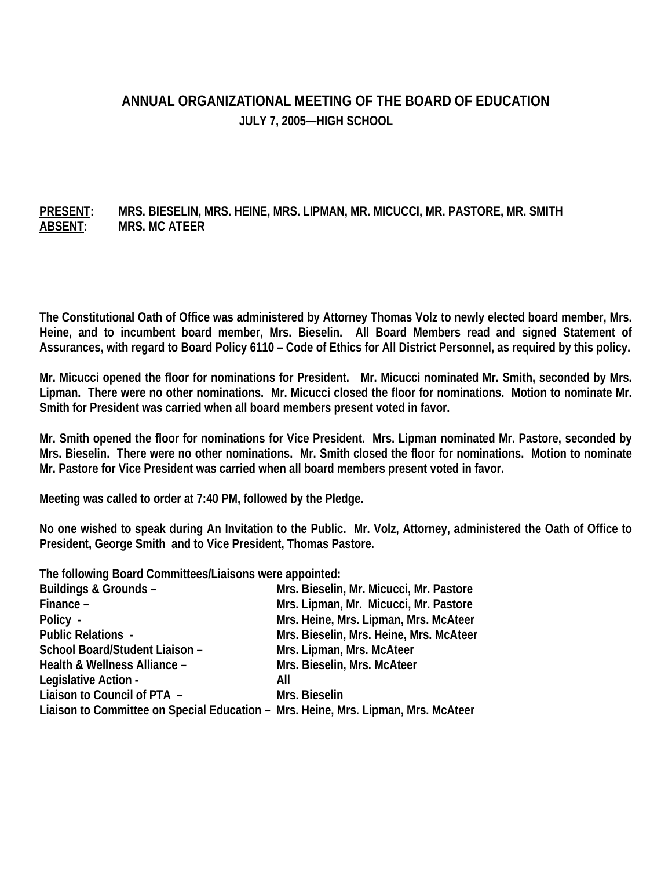## **ANNUAL ORGANIZATIONAL MEETING OF THE BOARD OF EDUCATION JULY 7, 2005—HIGH SCHOOL**

## **PRESENT: MRS. BIESELIN, MRS. HEINE, MRS. LIPMAN, MR. MICUCCI, MR. PASTORE, MR. SMITH ABSENT: MRS. MC ATEER**

**The Constitutional Oath of Office was administered by Attorney Thomas Volz to newly elected board member, Mrs. Heine, and to incumbent board member, Mrs. Bieselin. All Board Members read and signed Statement of Assurances, with regard to Board Policy 6110 – Code of Ethics for All District Personnel, as required by this policy.** 

**Mr. Micucci opened the floor for nominations for President. Mr. Micucci nominated Mr. Smith, seconded by Mrs. Lipman. There were no other nominations. Mr. Micucci closed the floor for nominations. Motion to nominate Mr. Smith for President was carried when all board members present voted in favor.** 

**Mr. Smith opened the floor for nominations for Vice President. Mrs. Lipman nominated Mr. Pastore, seconded by Mrs. Bieselin. There were no other nominations. Mr. Smith closed the floor for nominations. Motion to nominate Mr. Pastore for Vice President was carried when all board members present voted in favor.** 

**Meeting was called to order at 7:40 PM, followed by the Pledge.** 

**No one wished to speak during An Invitation to the Public. Mr. Volz, Attorney, administered the Oath of Office to President, George Smith and to Vice President, Thomas Pastore.** 

**The following Board Committees/Liaisons were appointed:** 

| Buildings & Grounds -                                                             | Mrs. Bieselin, Mr. Micucci, Mr. Pastore |
|-----------------------------------------------------------------------------------|-----------------------------------------|
| Finance -                                                                         | Mrs. Lipman, Mr. Micucci, Mr. Pastore   |
| Policy -                                                                          | Mrs. Heine, Mrs. Lipman, Mrs. McAteer   |
| <b>Public Relations -</b>                                                         | Mrs. Bieselin, Mrs. Heine, Mrs. McAteer |
| School Board/Student Liaison -                                                    | Mrs. Lipman, Mrs. McAteer               |
| Health & Wellness Alliance -                                                      | Mrs. Bieselin, Mrs. McAteer             |
| Legislative Action -                                                              | All                                     |
| Liaison to Council of PTA -                                                       | Mrs. Bieselin                           |
| Liaison to Committee on Special Education – Mrs. Heine, Mrs. Lipman, Mrs. McAteer |                                         |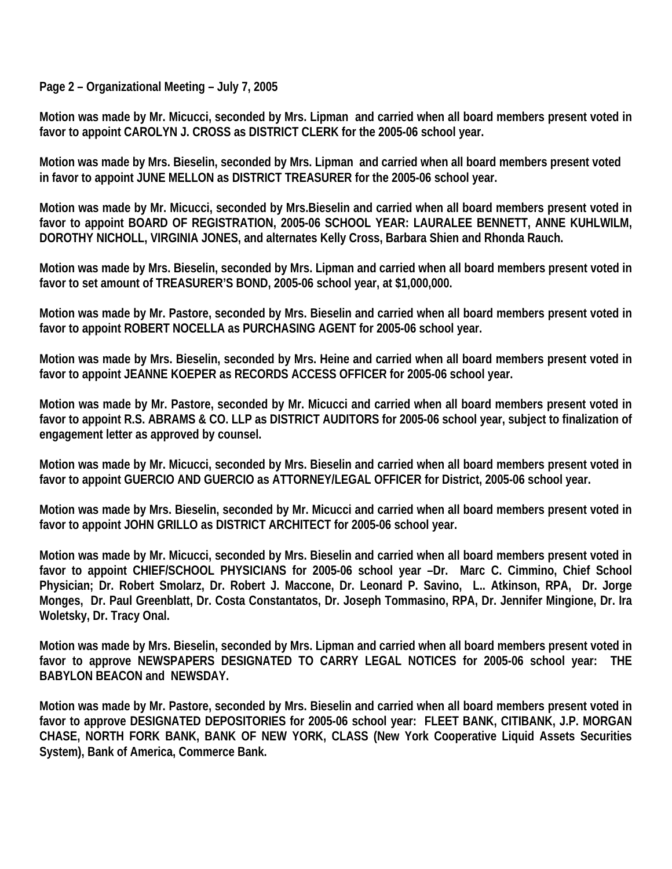**Page 2 – Organizational Meeting – July 7, 2005** 

**Motion was made by Mr. Micucci, seconded by Mrs. Lipman and carried when all board members present voted in favor to appoint CAROLYN J. CROSS as DISTRICT CLERK for the 2005-06 school year.** 

**Motion was made by Mrs. Bieselin, seconded by Mrs. Lipman and carried when all board members present voted in favor to appoint JUNE MELLON as DISTRICT TREASURER for the 2005-06 school year.** 

**Motion was made by Mr. Micucci, seconded by Mrs.Bieselin and carried when all board members present voted in favor to appoint BOARD OF REGISTRATION, 2005-06 SCHOOL YEAR: LAURALEE BENNETT, ANNE KUHLWILM, DOROTHY NICHOLL, VIRGINIA JONES, and alternates Kelly Cross, Barbara Shien and Rhonda Rauch.** 

**Motion was made by Mrs. Bieselin, seconded by Mrs. Lipman and carried when all board members present voted in favor to set amount of TREASURER'S BOND, 2005-06 school year, at \$1,000,000.** 

**Motion was made by Mr. Pastore, seconded by Mrs. Bieselin and carried when all board members present voted in favor to appoint ROBERT NOCELLA as PURCHASING AGENT for 2005-06 school year.** 

**Motion was made by Mrs. Bieselin, seconded by Mrs. Heine and carried when all board members present voted in favor to appoint JEANNE KOEPER as RECORDS ACCESS OFFICER for 2005-06 school year.** 

**Motion was made by Mr. Pastore, seconded by Mr. Micucci and carried when all board members present voted in favor to appoint R.S. ABRAMS & CO. LLP as DISTRICT AUDITORS for 2005-06 school year, subject to finalization of engagement letter as approved by counsel.** 

**Motion was made by Mr. Micucci, seconded by Mrs. Bieselin and carried when all board members present voted in favor to appoint GUERCIO AND GUERCIO as ATTORNEY/LEGAL OFFICER for District, 2005-06 school year.** 

**Motion was made by Mrs. Bieselin, seconded by Mr. Micucci and carried when all board members present voted in favor to appoint JOHN GRILLO as DISTRICT ARCHITECT for 2005-06 school year.** 

**Motion was made by Mr. Micucci, seconded by Mrs. Bieselin and carried when all board members present voted in favor to appoint CHIEF/SCHOOL PHYSICIANS for 2005-06 school year –Dr. Marc C. Cimmino, Chief School Physician; Dr. Robert Smolarz, Dr. Robert J. Maccone, Dr. Leonard P. Savino, L.. Atkinson, RPA, Dr. Jorge Monges, Dr. Paul Greenblatt, Dr. Costa Constantatos, Dr. Joseph Tommasino, RPA, Dr. Jennifer Mingione, Dr. Ira Woletsky, Dr. Tracy Onal.** 

**Motion was made by Mrs. Bieselin, seconded by Mrs. Lipman and carried when all board members present voted in favor to approve NEWSPAPERS DESIGNATED TO CARRY LEGAL NOTICES for 2005-06 school year: THE BABYLON BEACON and NEWSDAY.** 

**Motion was made by Mr. Pastore, seconded by Mrs. Bieselin and carried when all board members present voted in favor to approve DESIGNATED DEPOSITORIES for 2005-06 school year: FLEET BANK, CITIBANK, J.P. MORGAN CHASE, NORTH FORK BANK, BANK OF NEW YORK, CLASS (New York Cooperative Liquid Assets Securities System), Bank of America, Commerce Bank.**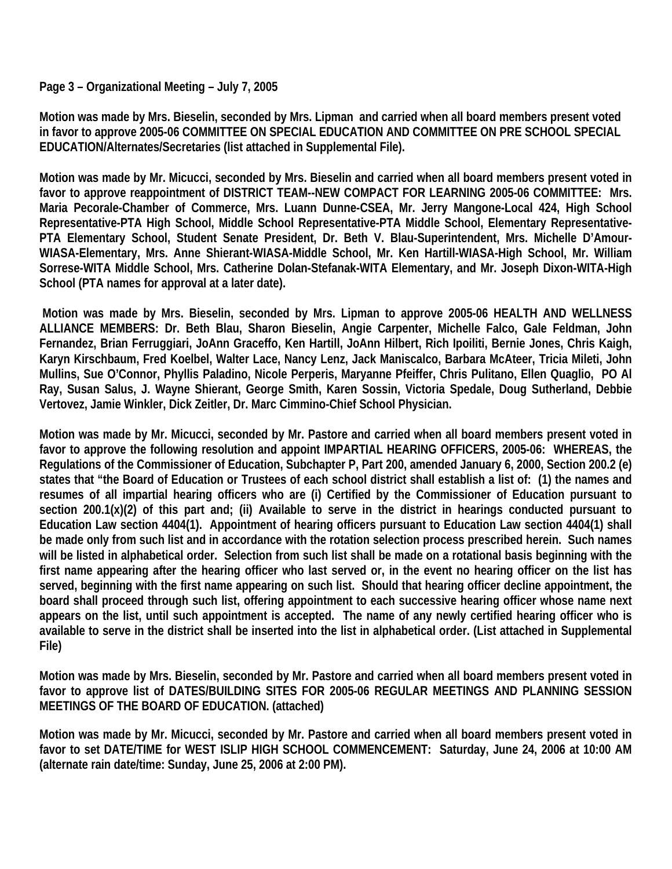## **Page 3 – Organizational Meeting – July 7, 2005**

**Motion was made by Mrs. Bieselin, seconded by Mrs. Lipman and carried when all board members present voted in favor to approve 2005-06 COMMITTEE ON SPECIAL EDUCATION AND COMMITTEE ON PRE SCHOOL SPECIAL EDUCATION/Alternates/Secretaries (list attached in Supplemental File).** 

**Motion was made by Mr. Micucci, seconded by Mrs. Bieselin and carried when all board members present voted in favor to approve reappointment of DISTRICT TEAM--NEW COMPACT FOR LEARNING 2005-06 COMMITTEE: Mrs. Maria Pecorale-Chamber of Commerce, Mrs. Luann Dunne-CSEA, Mr. Jerry Mangone-Local 424, High School Representative-PTA High School, Middle School Representative-PTA Middle School, Elementary Representative-PTA Elementary School, Student Senate President, Dr. Beth V. Blau-Superintendent, Mrs. Michelle D'Amour-WIASA-Elementary, Mrs. Anne Shierant-WIASA-Middle School, Mr. Ken Hartill-WIASA-High School, Mr. William Sorrese-WITA Middle School, Mrs. Catherine Dolan-Stefanak-WITA Elementary, and Mr. Joseph Dixon-WITA-High School (PTA names for approval at a later date).** 

 **Motion was made by Mrs. Bieselin, seconded by Mrs. Lipman to approve 2005-06 HEALTH AND WELLNESS ALLIANCE MEMBERS: Dr. Beth Blau, Sharon Bieselin, Angie Carpenter, Michelle Falco, Gale Feldman, John Fernandez, Brian Ferruggiari, JoAnn Graceffo, Ken Hartill, JoAnn Hilbert, Rich Ipoiliti, Bernie Jones, Chris Kaigh, Karyn Kirschbaum, Fred Koelbel, Walter Lace, Nancy Lenz, Jack Maniscalco, Barbara McAteer, Tricia Mileti, John Mullins, Sue O'Connor, Phyllis Paladino, Nicole Perperis, Maryanne Pfeiffer, Chris Pulitano, Ellen Quaglio, PO Al Ray, Susan Salus, J. Wayne Shierant, George Smith, Karen Sossin, Victoria Spedale, Doug Sutherland, Debbie Vertovez, Jamie Winkler, Dick Zeitler, Dr. Marc Cimmino-Chief School Physician.** 

**Motion was made by Mr. Micucci, seconded by Mr. Pastore and carried when all board members present voted in favor to approve the following resolution and appoint IMPARTIAL HEARING OFFICERS, 2005-06: WHEREAS, the Regulations of the Commissioner of Education, Subchapter P, Part 200, amended January 6, 2000, Section 200.2 (e) states that "the Board of Education or Trustees of each school district shall establish a list of: (1) the names and resumes of all impartial hearing officers who are (i) Certified by the Commissioner of Education pursuant to section 200.1(x)(2) of this part and; (ii) Available to serve in the district in hearings conducted pursuant to Education Law section 4404(1). Appointment of hearing officers pursuant to Education Law section 4404(1) shall be made only from such list and in accordance with the rotation selection process prescribed herein. Such names will be listed in alphabetical order. Selection from such list shall be made on a rotational basis beginning with the first name appearing after the hearing officer who last served or, in the event no hearing officer on the list has served, beginning with the first name appearing on such list. Should that hearing officer decline appointment, the board shall proceed through such list, offering appointment to each successive hearing officer whose name next appears on the list, until such appointment is accepted. The name of any newly certified hearing officer who is available to serve in the district shall be inserted into the list in alphabetical order. (List attached in Supplemental File)** 

**Motion was made by Mrs. Bieselin, seconded by Mr. Pastore and carried when all board members present voted in favor to approve list of DATES/BUILDING SITES FOR 2005-06 REGULAR MEETINGS AND PLANNING SESSION MEETINGS OF THE BOARD OF EDUCATION. (attached)** 

**Motion was made by Mr. Micucci, seconded by Mr. Pastore and carried when all board members present voted in favor to set DATE/TIME for WEST ISLIP HIGH SCHOOL COMMENCEMENT: Saturday, June 24, 2006 at 10:00 AM (alternate rain date/time: Sunday, June 25, 2006 at 2:00 PM).**